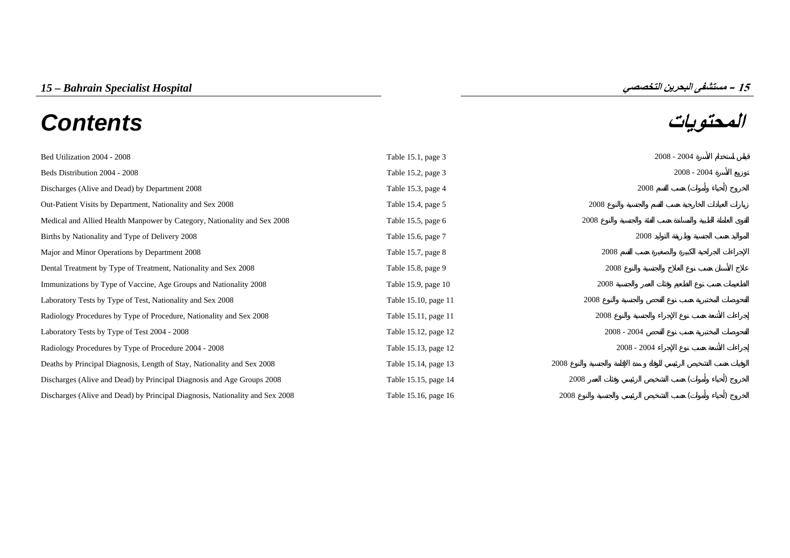# **المحتويات** *Contents*



Bed Utilization 2004 - 2008 Table 15.1, page 3 2008 - 2004 [Beds Distribution 2004 - 2008 Table 15.2, page 3 2008](#page-2-0) - 2004 Discharges (Alive and Dead) by Department 2008 () and Dead () and Dead () and Dead () and Dead () and Dead () and Dead () and Dead () and Dead () and Dead () and Dead () and Dead () and Dead () and Dead () and Dead () and [Out-Patient Visits by Department, Nationality and Sex 2008 Table 15.4, page 5 2008](#page-4-0) [Medical and Allied Health Manpower by Category, Nationality and Sex 2008 Table 15.5, page 6 2008](#page-5-0) Births by Nationality and Type of Delivery 2008 2008 Table 15.6, page 7 2008 Major and Minor Operations by Department 2008 2008 Table 15.7, page 8 2008 [Dental Treatment by Type of Treatment, Nationality and Sex 2008 Table 15.8, page 9 2008](#page-8-0) [Immunizations by Type of Vaccine, Age Groups and Nationality 2008 Table 15.9, page 10 2008](#page-9-0) Laboratory Tests by Type of Test, Nationality and Sex 2008 Table 15.10, page 11 2008 [Radiology Procedures by Type of Procedure, Nationality and Sex 2008 Table 15.11, page 11 2008](#page-10-0) Laboratory Tests by Type of Test 2004 - 2008  $\blacksquare$  2008 - 2008 - 2008 - 2008 - 2008 - 2008 - 2008 - 2008 - 2008 - 2008 - 2008 - 2008 - 2008 - 2008 - 2008 - 2008 - 2008 - 2008 - 2008 - 2008 - 2008 - 2008 - 2008 - 2008 - 20 Radiology Procedures by Type of Procedure 2004 - 2008  $\blacksquare$  2008 - 2008 - 2008 - 2004 - 2008 - 2008 - 2004 - 2008 - 2008 - 2004 - 2008 - 2008 - 2004 - 2008 - 2004 - 2008 - 2004 - 2008 - 2004 - 2008 - 2004 - 2008 - 2004 - [Deaths by Principal Diagnosis, Length of Stay, Nationality and Sex 2008 Table 15.14, page 13 2008](#page-12-0) [Discharges \(Alive and Dead\) by Principal Diagnosis and Age Groups 2008 Table 15.15, page 14 2008](#page-13-0) ( ) [Discharges \(Alive and Dead\) by Principal Diagnosis, Nationality and Sex 2008 Table 15.16, page 16 2008](#page-15-0)

**15**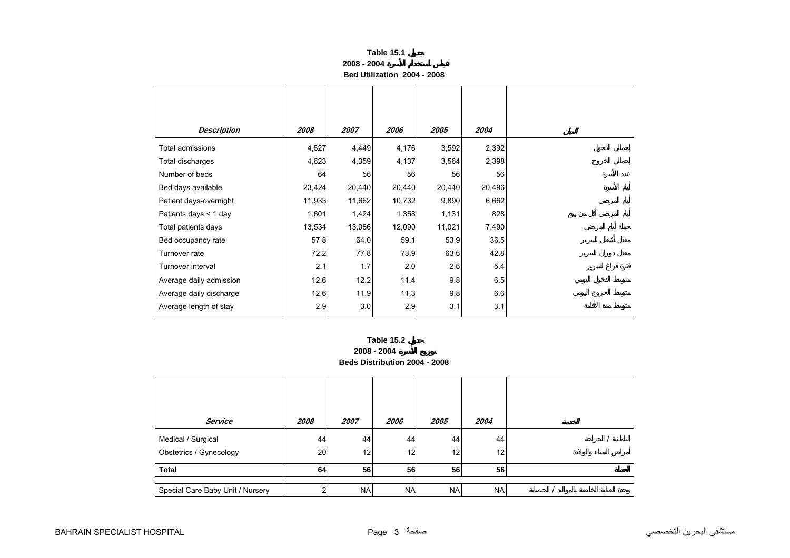| Table 15.1                  |  |
|-----------------------------|--|
| 2008 - 2004                 |  |
| Bed Utilization 2004 - 2008 |  |

<span id="page-2-0"></span>

| <b>Description</b>      | 2008   | 2007   | 2006   | 2005   | 2004   |
|-------------------------|--------|--------|--------|--------|--------|
| Total admissions        | 4,627  | 4,449  | 4,176  | 3,592  | 2,392  |
| Total discharges        | 4,623  | 4,359  | 4,137  | 3,564  | 2,398  |
| Number of beds          | 64     | 56     | 56     | 56     | 56     |
| Bed days available      | 23,424 | 20,440 | 20,440 | 20,440 | 20,496 |
| Patient days-overnight  | 11,933 | 11,662 | 10,732 | 9,890  | 6,662  |
| Patients days < 1 day   | 1,601  | 1,424  | 1,358  | 1,131  | 828    |
| Total patients days     | 13,534 | 13,086 | 12,090 | 11,021 | 7,490  |
| Bed occupancy rate      | 57.8   | 64.0   | 59.1   | 53.9   | 36.5   |
| Turnover rate           | 72.2   | 77.8   | 73.9   | 63.6   | 42.8   |
| Turnover interval       | 2.1    | 1.7    | 2.0    | 2.6    | 5.4    |
| Average daily admission | 12.6   | 12.2   | 11.4   | 9.8    | 6.5    |
| Average daily discharge | 12.6   | 11.9   | 11.3   | 9.8    | 6.6    |
| Average length of stay  | 2.9    | 3.0    | 2.9    | 3.1    | 3.1    |



| <b>Service</b>                   | 2008 | 2007            | 2006      | 2005      | 2004      |  |
|----------------------------------|------|-----------------|-----------|-----------|-----------|--|
| Medical / Surgical               | 44   | 44              | 44        | 44        | 44        |  |
| Obstetrics / Gynecology          | 20   | 12 <sub>1</sub> | 12        | 12        | 12        |  |
| <b>Total</b>                     | 64   | 56              | 56        | 56        | 56        |  |
|                                  |      |                 |           |           |           |  |
| Special Care Baby Unit / Nursery |      | <b>NA</b>       | <b>NA</b> | <b>NA</b> | <b>NA</b> |  |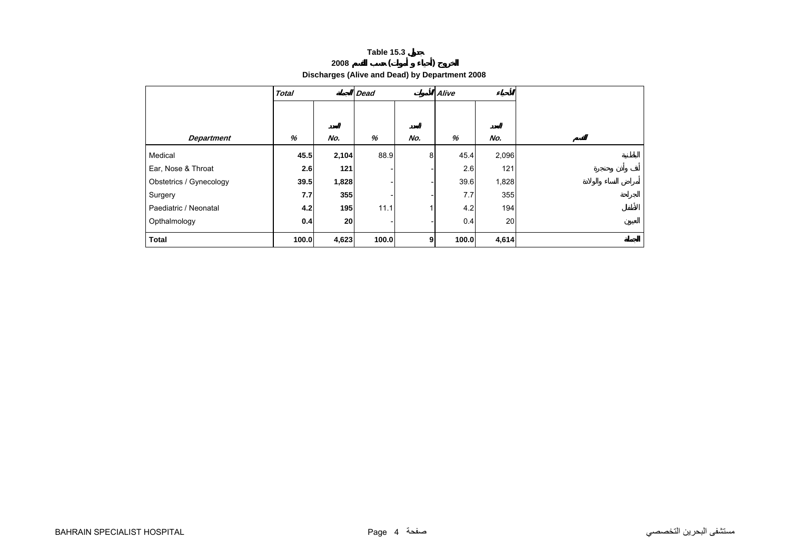## **<sup>2008</sup> ( )**

<span id="page-3-0"></span>

|                         | <b>Total</b> |       | <b>Dead</b> |                | Alive |       |  |
|-------------------------|--------------|-------|-------------|----------------|-------|-------|--|
|                         |              |       |             |                |       |       |  |
| <b>Department</b>       | %            | No.   | %           | No.            | %     | No.   |  |
| Medical                 | 45.5         | 2,104 | 88.9        | 8 <sup>1</sup> | 45.4  | 2,096 |  |
| Ear, Nose & Throat      | 2.6          | 121   |             |                | 2.6   | 121   |  |
| Obstetrics / Gynecology | 39.5         | 1,828 |             |                | 39.6  | 1,828 |  |
| Surgery                 | 7.7          | 355   |             |                | 7.7   | 355   |  |
| Paediatric / Neonatal   | 4.2          | 195   | 11.1        |                | 4.2   | 194   |  |
| Opthalmology            | 0.4          | 20    |             |                | 0.4   | 20    |  |
| <b>Total</b>            | 100.0        | 4,623 | 100.0       | 9 <sub>l</sub> | 100.0 | 4,614 |  |

**Discharges (Alive and Dead) by Department 2008**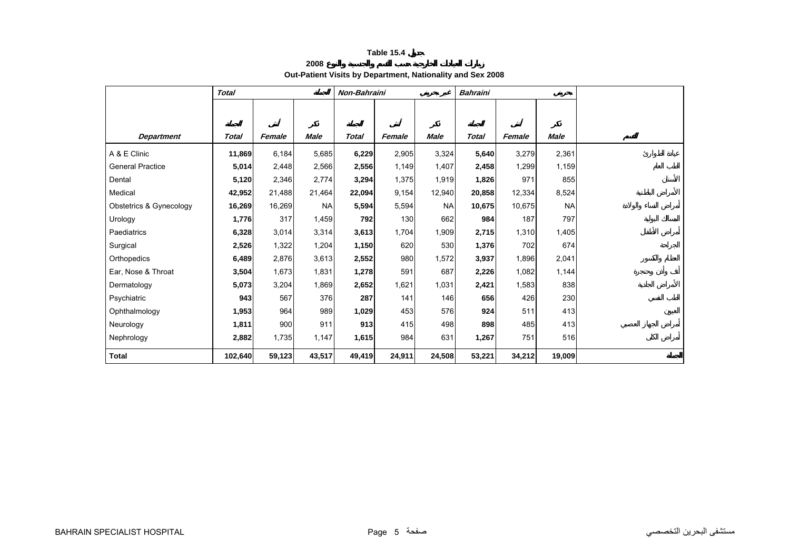**2008**

**Out-Patient Visits by Department, Nationality and Sex 2008** 

<span id="page-4-0"></span>

|                         | <b>Total</b> |        |             | Non-Bahraini |        |             | <b>Bahraini</b> |        |           |  |
|-------------------------|--------------|--------|-------------|--------------|--------|-------------|-----------------|--------|-----------|--|
|                         |              |        |             |              |        |             |                 |        |           |  |
|                         |              |        |             |              |        |             |                 |        |           |  |
| <b>Department</b>       | Total        | Female | <b>Male</b> | <b>Total</b> | Female | <b>Male</b> | <b>Total</b>    | Female | Male      |  |
| A & E Clinic            | 11,869       | 6,184  | 5,685       | 6,229        | 2,905  | 3,324       | 5,640           | 3,279  | 2,361     |  |
| <b>General Practice</b> | 5,014        | 2,448  | 2,566       | 2,556        | 1,149  | 1,407       | 2,458           | 1,299  | 1,159     |  |
| Dental                  | 5,120        | 2,346  | 2,774       | 3,294        | 1,375  | 1,919       | 1,826           | 971    | 855       |  |
| Medical                 | 42,952       | 21,488 | 21,464      | 22,094       | 9,154  | 12,940      | 20,858          | 12,334 | 8,524     |  |
| Obstetrics & Gynecology | 16,269       | 16,269 | <b>NA</b>   | 5,594        | 5,594  | <b>NA</b>   | 10,675          | 10,675 | <b>NA</b> |  |
| Urology                 | 1,776        | 317    | 1,459       | 792          | 130    | 662         | 984             | 187    | 797       |  |
| Paediatrics             | 6,328        | 3,014  | 3,314       | 3,613        | 1,704  | 1,909       | 2,715           | 1,310  | 1,405     |  |
| Surgical                | 2,526        | 1,322  | 1,204       | 1,150        | 620    | 530         | 1,376           | 702    | 674       |  |
| Orthopedics             | 6,489        | 2,876  | 3,613       | 2,552        | 980    | 1,572       | 3,937           | 1,896  | 2,041     |  |
| Ear. Nose & Throat      | 3,504        | 1,673  | 1,831       | 1,278        | 591    | 687         | 2,226           | 1,082  | 1,144     |  |
| Dermatology             | 5,073        | 3,204  | 1,869       | 2,652        | 1,621  | 1,031       | 2,421           | 1,583  | 838       |  |
| Psychiatric             | 943          | 567    | 376         | 287          | 141    | 146         | 656             | 426    | 230       |  |
| Ophthalmology           | 1,953        | 964    | 989         | 1,029        | 453    | 576         | 924             | 511    | 413       |  |
| Neurology               | 1,811        | 900    | 911         | 913          | 415    | 498         | 898             | 485    | 413       |  |
| Nephrology              | 2,882        | 1,735  | 1,147       | 1,615        | 984    | 631         | 1,267           | 751    | 516       |  |
| Total                   | 102,640      | 59,123 | 43,517      | 49,419       | 24,911 | 24,508      | 53,221          | 34,212 | 19,009    |  |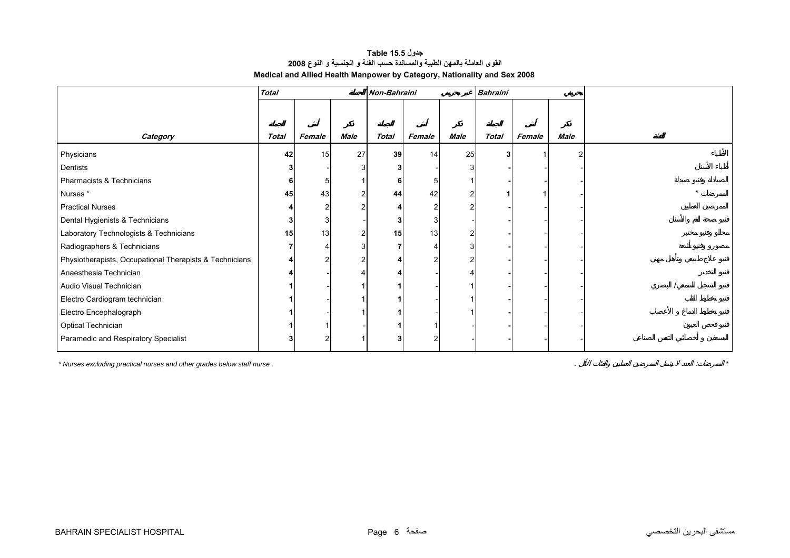## **جدول 15.5 Table القوى العاملة بالمهن الطبية والمساندة حسب الفئة <sup>و</sup> الجنسية <sup>و</sup> النوع <sup>2008</sup> Medical and Allied Health Manpower by Category, Nationality and Sex 2008**

<span id="page-5-0"></span>

|                                                         | <b>Total</b> |        |                | Non-Bahraini |                |                | <b>Bahraini</b> |        |      |  |
|---------------------------------------------------------|--------------|--------|----------------|--------------|----------------|----------------|-----------------|--------|------|--|
|                                                         |              |        |                |              |                |                |                 |        |      |  |
|                                                         |              |        |                |              |                |                |                 |        |      |  |
| Category                                                | <b>Total</b> | Female | Male           | Total        | Female         | Male           | Total           | Female | Male |  |
| Physicians                                              | 42           | 15     | 27             | 39           | 14             | 25             | 3               |        |      |  |
| Dentists                                                |              |        |                | 3            |                | 3              |                 |        |      |  |
| Pharmacists & Technicians                               | 6            | 5      |                | 6            | 5              |                |                 |        |      |  |
| Nurses *                                                | 45           | 43     | $\overline{2}$ | 44           | 42             | 2              |                 |        |      |  |
| <b>Practical Nurses</b>                                 |              | 2      | $\overline{2}$ |              | $\overline{2}$ | 2              |                 |        |      |  |
| Dental Hygienists & Technicians                         |              | 3      |                | 3            | 3              |                |                 |        |      |  |
| Laboratory Technologists & Technicians                  | 15           | 13     | 2              | 15           | 13             | $\overline{c}$ |                 |        |      |  |
| Radiographers & Technicians                             |              |        | 3              | 7            |                | 3              |                 |        |      |  |
| Physiotherapists, Occupational Therapists & Technicians |              | 2      | $\overline{2}$ |              | 2              | 2              |                 |        |      |  |
| Anaesthesia Technician                                  |              |        |                |              |                |                |                 |        |      |  |
| Audio Visual Technician                                 |              |        |                |              |                |                |                 |        |      |  |
| Electro Cardiogram technician                           |              |        |                |              |                |                |                 |        |      |  |
| Electro Encephalograph                                  |              |        |                |              |                |                |                 |        |      |  |
| Optical Technician                                      |              |        |                |              |                |                |                 |        |      |  |
| Paramedic and Respiratory Specialist                    |              | 2      |                | 3            | $\overline{c}$ |                |                 |        |      |  |

*\* Nurses excluding practical nurses and other grades below staff nurse .* . : *\**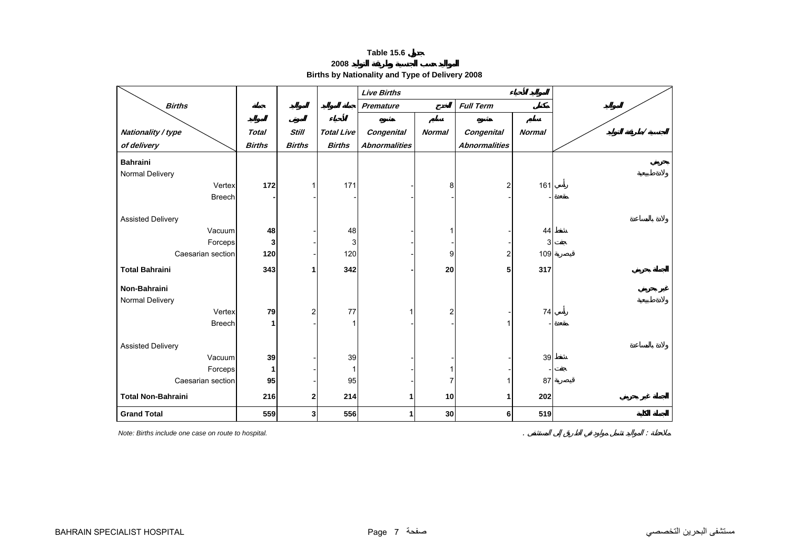**2008**

**Births by Nationality and Type of Delivery 2008** 

<span id="page-6-0"></span>

|                           |               |                |                   | <b>Live Births</b>   |                |                      |               |  |
|---------------------------|---------------|----------------|-------------------|----------------------|----------------|----------------------|---------------|--|
| <b>Births</b>             |               |                |                   | <b>Premature</b>     |                | <b>Full Term</b>     |               |  |
|                           |               |                |                   |                      |                |                      |               |  |
| Nationality / type        | <b>Total</b>  | <b>Still</b>   | <b>Total Live</b> | Congenital           | <b>Normal</b>  | Congenital           | <b>Normal</b> |  |
| of delivery               | <b>Births</b> | <b>Births</b>  | <b>Births</b>     | <b>Abnormalities</b> |                | <b>Abnormalities</b> |               |  |
| <b>Bahraini</b>           |               |                |                   |                      |                |                      |               |  |
| Normal Delivery           |               |                |                   |                      |                |                      |               |  |
| Vertex                    | 172           |                | 171               |                      | 8              | 2                    | 161           |  |
| <b>Breech</b>             |               |                |                   |                      |                |                      |               |  |
|                           |               |                |                   |                      |                |                      |               |  |
| <b>Assisted Delivery</b>  |               |                |                   |                      |                |                      |               |  |
| Vacuum                    | 48            |                | 48                |                      |                |                      | 44            |  |
| Forceps                   | 3             |                | 3                 |                      |                |                      | 3             |  |
| Caesarian section         | 120           |                | 120               |                      | 9              | 2                    | 109           |  |
| <b>Total Bahraini</b>     | 343           |                | 342               |                      | 20             | 5                    | 317           |  |
| Non-Bahraini              |               |                |                   |                      |                |                      |               |  |
| Normal Delivery           |               |                |                   |                      |                |                      |               |  |
| Vertex                    | 79            | $\overline{2}$ | 77                |                      | $\overline{2}$ |                      | 74            |  |
| <b>Breech</b>             | 1             |                |                   |                      |                |                      |               |  |
| <b>Assisted Delivery</b>  |               |                |                   |                      |                |                      |               |  |
| Vacuum                    | 39            |                | 39                |                      |                |                      | 39            |  |
| Forceps                   | 1             |                |                   |                      |                |                      |               |  |
| Caesarian section         | 95            |                | 95                |                      |                |                      | 87            |  |
| <b>Total Non-Bahraini</b> | 216           | $\mathbf{2}$   | 214               | 1.                   | 10             | 1                    | 202           |  |
| <b>Grand Total</b>        | 559           | 3 <sup>1</sup> | 556               |                      | 30             | 6                    | 519           |  |

*Note: Births include one case on route to hospital.* . :

مستشفى البحرين التخصصي صفحة 7 Page – صفحة 7 Page Page بمستشفى البحرين التخصصي صفحة 7 BAHRAIN SPECIALIST HOSPITAL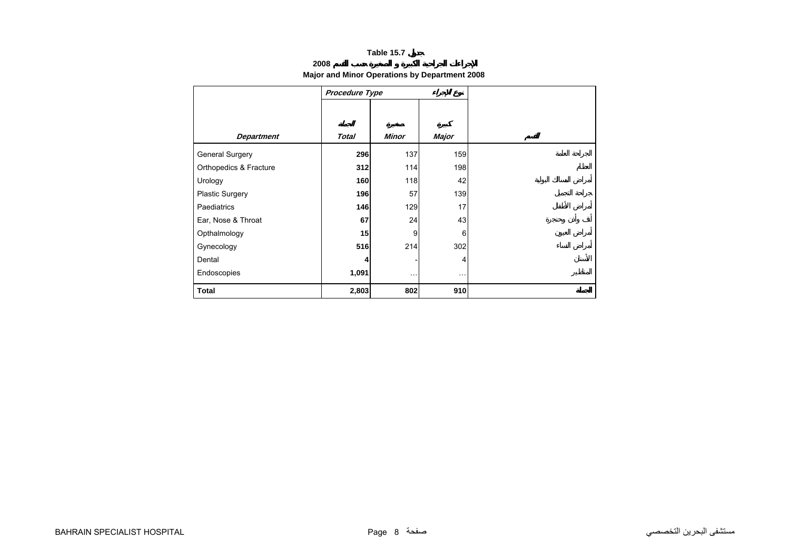## **2008**

## **Major and Minor Operations by Department 2008**

<span id="page-7-0"></span>

|                        | Procedure Type |              |          |  |
|------------------------|----------------|--------------|----------|--|
|                        |                |              |          |  |
|                        |                |              |          |  |
| <b>Department</b>      | <b>Total</b>   | <b>Minor</b> | Major    |  |
| <b>General Surgery</b> | 296            | 137          | 159      |  |
| Orthopedics & Fracture | 312            | 114          | 198      |  |
| Urology                | 160            | 118          | 42       |  |
| <b>Plastic Surgery</b> | 196            | 57           | 139      |  |
| Paediatrics            | 146            | 129          | 17       |  |
| Ear, Nose & Throat     | 67             | 24           | 43       |  |
| Opthalmology           | 15             | 9            | 6        |  |
| Gynecology             | 516            | 214          | 302      |  |
| Dental                 | 4              |              | 4        |  |
| Endoscopies            | 1,091          | $\cdots$     | $\cdots$ |  |
| <b>Total</b>           | 2,803          | 802          | 910      |  |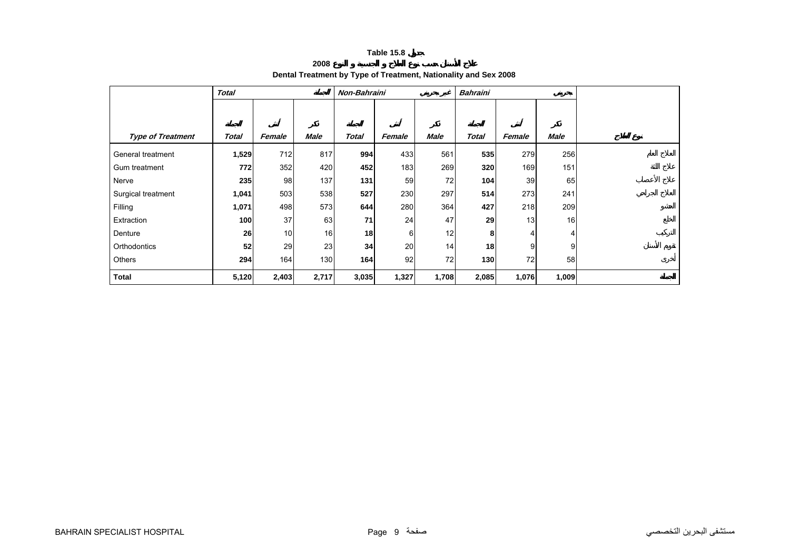**2008**

## **Dental Treatment by Type of Treatment, Nationality and Sex 2008**

<span id="page-8-0"></span>

|                          | Total |        |             | Non-Bahraini |        |       | <b>Bahraini</b> |        |             |  |
|--------------------------|-------|--------|-------------|--------------|--------|-------|-----------------|--------|-------------|--|
|                          |       |        |             |              |        |       |                 |        |             |  |
|                          |       |        |             |              |        |       |                 |        |             |  |
| <b>Type of Treatment</b> | Total | Female | <b>Male</b> | <b>Total</b> | Female | Male  | <b>Total</b>    | Female | <b>Male</b> |  |
| General treatment        | 1,529 | 712    | 817         | 994          | 433    | 561   | 535             | 279    | 256         |  |
| Gum treatment            | 772   | 352    | 420         | 452          | 183    | 269   | 320             | 169    | 151         |  |
| Nerve                    | 235   | 98     | 137         | 131          | 59     | 72    | 104             | 39     | 65          |  |
| Surgical treatment       | 1,041 | 503    | 538         | 527          | 230    | 297   | 514             | 273    | 241         |  |
| Filling                  | 1,071 | 498    | 573         | 644          | 280    | 364   | 427             | 218    | 209         |  |
| Extraction               | 100   | 37     | 63          | 71           | 24     | 47    | 29              | 13     | 16          |  |
| Denture                  | 26    | 10     | 16          | 18           | 6      | 12    | 8               |        | 4           |  |
| Orthodontics             | 52    | 29     | 23          | 34           | 20     | 14    | 18              | 9      | 9           |  |
| Others                   | 294   | 164    | 130         | 164          | 92     | 72    | $130$           | 72     | 58          |  |
| <b>Total</b>             | 5,120 | 2,403  | 2,717       | 3,035        | 1,327  | 1,708 | 2,085           | 1,076  | 1,009       |  |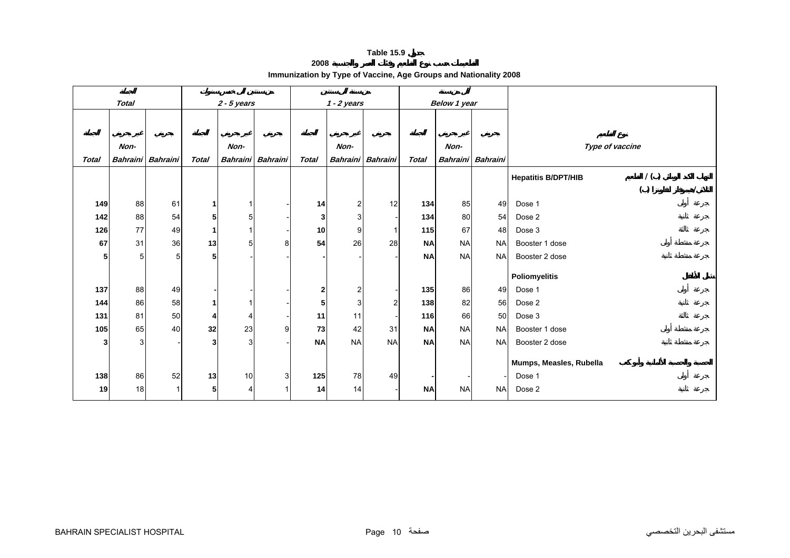**2008**

<span id="page-9-0"></span>

|              | <b>Total</b>      |    |                | $2 - 5$ years   |                 |                 | $1 - 2$ years  |                   |              | Below 1 year |                   |                            |     |  |
|--------------|-------------------|----|----------------|-----------------|-----------------|-----------------|----------------|-------------------|--------------|--------------|-------------------|----------------------------|-----|--|
|              |                   |    |                |                 |                 |                 |                |                   |              |              |                   |                            |     |  |
|              |                   |    |                |                 |                 |                 |                |                   |              |              |                   |                            |     |  |
|              | Non-              |    |                | Non-            |                 |                 | Non-           |                   |              | Non-         |                   | Type of vaccine            |     |  |
| <b>Total</b> | Bahraini Bahraini |    | <b>Total</b>   | <b>Bahraini</b> | <b>Bahraini</b> | <b>Total</b>    |                | Bahraini Bahraini | <b>Total</b> |              | Bahraini Bahraini |                            |     |  |
|              |                   |    |                |                 |                 |                 |                |                   |              |              |                   | <b>Hepatitis B/DPT/HIB</b> | 1() |  |
|              |                   |    |                |                 |                 |                 |                |                   |              |              |                   |                            | ( ) |  |
| 149          | 88                | 61 | 1              |                 |                 | 14              | 2              | 12                | 134          | 85           | 49                | Dose 1                     |     |  |
| 142          | 88                | 54 | 5              | 5               |                 | 3               | $\overline{3}$ |                   | 134          | 80           | 54                | Dose 2                     |     |  |
| 126          | 77                | 49 | $\mathbf{1}$   |                 |                 | 10 <sup>1</sup> | 9 <sub>l</sub> | 1                 | 115          | 67           | 48                | Dose 3                     |     |  |
| 67           | 31                | 36 | 13             | 5               | 8               | 54              | <b>26</b>      | 28                | <b>NA</b>    | <b>NA</b>    | <b>NA</b>         | Booster 1 dose             |     |  |
| 5            | 5 <sub>l</sub>    | 5  | 5              |                 |                 |                 |                |                   | <b>NA</b>    | <b>NA</b>    | <b>NA</b>         | Booster 2 dose             |     |  |
|              |                   |    |                |                 |                 |                 |                |                   |              |              |                   | <b>Poliomyelitis</b>       |     |  |
| 137          | 88                | 49 |                |                 |                 | $\mathbf{2}$    | $\overline{a}$ |                   | 135          | 86           | 49                | Dose 1                     |     |  |
| 144          | 86                | 58 | 1              |                 |                 | 5               | 3              | $\overline{c}$    | 138          | 82           | 56                | Dose 2                     |     |  |
| 131          | 81                | 50 | 4              |                 |                 | 11              | 11             |                   | 116          | 66           | 50                | Dose 3                     |     |  |
| 105          | 65                | 40 | 32             | 23              | 9               | 73              | 42             | 31                | <b>NA</b>    | <b>NA</b>    | <b>NA</b>         | Booster 1 dose             |     |  |
| 3            | 3 <sup>1</sup>    |    | 3              | 3               |                 | <b>NA</b>       | <b>NA</b>      | <b>NA</b>         | <b>NA</b>    | <b>NA</b>    | <b>NA</b>         | Booster 2 dose             |     |  |
|              |                   |    |                |                 |                 |                 |                |                   |              |              |                   | Mumps, Measles, Rubella    |     |  |
| 138          | 86                | 52 | 13             | 10              | 3 <sup>1</sup>  | 125             | 78             | 49                |              |              |                   | Dose 1                     |     |  |
| 19           | 18                | 1  | 5 <sub>l</sub> | 4               |                 | 14              | 14             |                   | <b>NA</b>    | <b>NA</b>    | <b>NA</b>         | Dose 2                     |     |  |
|              |                   |    |                |                 |                 |                 |                |                   |              |              |                   |                            |     |  |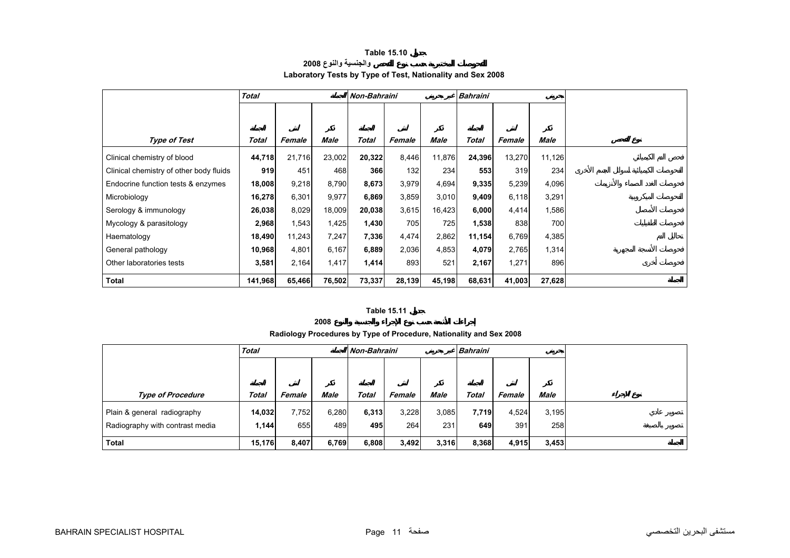## **Table 15.10 والجنسية والنوع <sup>2008</sup> Laboratory Tests by Type of Test, Nationality and Sex 2008**

<span id="page-10-0"></span>

|                                         | <b>Total</b> |        |        | Non-Bahraini |        |        | <b>Bahraini</b> |        |        |  |
|-----------------------------------------|--------------|--------|--------|--------------|--------|--------|-----------------|--------|--------|--|
|                                         |              |        |        |              |        |        |                 |        |        |  |
|                                         |              |        |        |              |        |        |                 |        |        |  |
| Type of Test                            | Total        | Female | Male   | Total        | Female | Male   | <b>Total</b>    | Female | Male   |  |
| Clinical chemistry of blood             | 44,718       | 21,716 | 23,002 | 20,322       | 8,446  | 11,876 | 24,396          | 13,270 | 11,126 |  |
| Clinical chemistry of other body fluids | 919          | 451    | 468    | 366          | 132    | 234    | 553             | 319    | 234    |  |
| Endocrine function tests & enzymes      | 18,008       | 9,218  | 8,790  | 8,673        | 3,979  | 4,694  | 9,335           | 5,239  | 4,096  |  |
| Microbiology                            | 16,278       | 6,301  | 9,977  | 6,869        | 3,859  | 3,010  | 9,409           | 6,118  | 3,291  |  |
| Serology & immunology                   | 26,038       | 8,029  | 18,009 | 20,038       | 3,615  | 16,423 | 6,000           | 4,414  | 1,586  |  |
| Mycology & parasitology                 | 2,968        | 1,543  | 1,425  | 1,430        | 705    | 725    | 1,538           | 838    | 700    |  |
| Haematology                             | 18,490       | 11,243 | 7,247  | 7,336        | 4,474  | 2,862  | 11,154          | 6,769  | 4,385  |  |
| General pathology                       | 10,968       | 4,801  | 6,167  | 6,889        | 2,036  | 4,853  | 4,079           | 2,765  | 1,314  |  |
| Other laboratories tests                | 3,581        | 2,164  | 1,417  | 1,414        | 893    | 521    | 2,167           | 1,271  | 896    |  |
| <b>Total</b>                            | 141,968      | 65,466 | 76,502 | 73,337       | 28,139 | 45,198 | 68,631          | 41,003 | 27,628 |  |

## **Table 15.11**

#### **2008**

**Radiology Procedures by Type of Procedure, Nationality and Sex 2008**

|                                 | <b>Total</b> |        |       | <b>Non-Bahraini</b> |        |       | <b>Bahraini</b> |        |             |  |
|---------------------------------|--------------|--------|-------|---------------------|--------|-------|-----------------|--------|-------------|--|
|                                 |              |        |       |                     |        |       |                 |        |             |  |
|                                 |              |        |       |                     |        |       |                 |        |             |  |
| <b>Type of Procedure</b>        | Total        | Female | Male  | <b>Total</b>        | Female | Male  | Total           | Female | <b>Male</b> |  |
| Plain & general radiography     | 14,032       | 7,752  | 6,280 | 6,313               | 3,228  | 3,085 | 7,719           | 4,524  | 3,195       |  |
| Radiography with contrast media | 1,144        | 655    | 489   | 495                 | 264    | 231   | 649             | 391    | 258         |  |
| <b>Total</b>                    | 15,176       | 8,407  | 6,769 | 6,808               | 3,492  | 3,316 | 8,368           | 4,915  | 3,453       |  |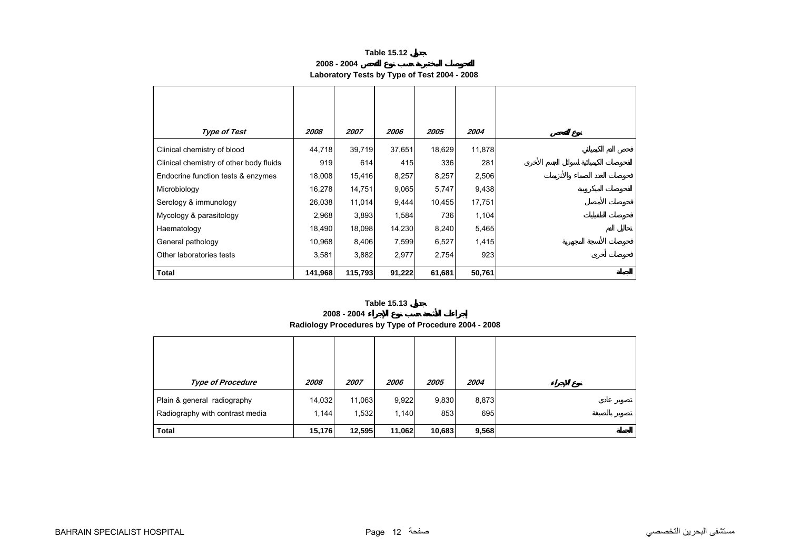**2008 - 2004**

## **Laboratory Tests by Type of Test 2004 - 2008**

<span id="page-11-0"></span>

| <b>Type of Test</b>                     | 2008    | 2007    | 2006   | 2005   | 2004   |
|-----------------------------------------|---------|---------|--------|--------|--------|
| Clinical chemistry of blood             | 44,718  | 39,719  | 37,651 | 18,629 | 11,878 |
| Clinical chemistry of other body fluids | 919     | 614     | 415    | 336    | 281    |
| Endocrine function tests & enzymes      | 18,008  | 15,416  | 8,257  | 8,257  | 2,506  |
| Microbiology                            | 16,278  | 14,751  | 9,065  | 5,747  | 9,438  |
| Serology & immunology                   | 26,038  | 11,014  | 9,444  | 10,455 | 17,751 |
| Mycology & parasitology                 | 2,968   | 3,893   | 1,584  | 736    | 1,104  |
| Haematology                             | 18,490  | 18,098  | 14,230 | 8,240  | 5,465  |
| General pathology                       | 10,968  | 8,406   | 7,599  | 6,527  | 1,415  |
| Other laboratories tests                | 3,581   | 3,882   | 2,977  | 2,754  | 923    |
| Total                                   | 141,968 | 115,793 | 91,222 | 61,681 | 50,761 |

### **Table 15.13**

#### **2008 - 2004**

## **Radiology Procedures by Type of Procedure 2004 - 2008**

| <b>Type of Procedure</b>                                       | 2008            | 2007            | 2006           | 2005         | 2004         |
|----------------------------------------------------------------|-----------------|-----------------|----------------|--------------|--------------|
| Plain & general radiography<br>Radiography with contrast media | 14,032<br>1,144 | 11,063<br>1,532 | 9,922<br>1,140 | 9,830<br>853 | 8,873<br>695 |
| <b>Total</b>                                                   | 15,176          | 12,595          | 11,062         | 10,683       | 9,568        |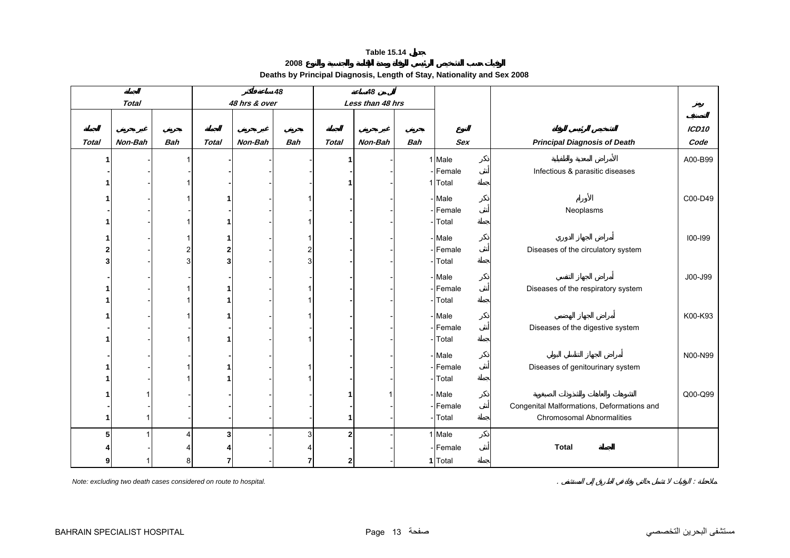**2008**

## **Deaths by Principal Diagnosis, Length of Stay, Nationality and Sex 2008**

<span id="page-12-0"></span>

|              |              |                |                |               | 48             |              | 48               |            |                  |                                                                                |                   |
|--------------|--------------|----------------|----------------|---------------|----------------|--------------|------------------|------------|------------------|--------------------------------------------------------------------------------|-------------------|
|              | <b>Total</b> |                |                | 48 hrs & over |                |              | Less than 48 hrs |            |                  |                                                                                |                   |
|              |              |                |                |               |                |              |                  |            |                  |                                                                                |                   |
|              |              |                |                |               |                |              |                  |            |                  |                                                                                | ICD <sub>10</sub> |
| <b>Total</b> | Non-Bah      | <b>Bah</b>     | <b>Total</b>   | Non-Bah       | <b>Bah</b>     | <b>Total</b> | Non-Bah          | <b>Bah</b> | <b>Sex</b>       | <b>Principal Diagnosis of Death</b>                                            | Code              |
|              |              |                |                |               |                |              |                  |            | 1 Male           |                                                                                | A00-B99           |
|              |              |                |                |               |                |              |                  |            | -Female          | Infectious & parasitic diseases                                                |                   |
|              |              |                |                |               |                |              |                  |            | 1 Total          |                                                                                |                   |
|              |              |                |                |               |                |              |                  |            | - Male           |                                                                                | C00-D49           |
|              |              |                |                |               |                |              |                  |            | -Female          | Neoplasms                                                                      |                   |
|              |              |                |                |               |                |              |                  |            | Total            |                                                                                |                   |
|              |              |                |                |               |                |              |                  |            | - Male           |                                                                                | 100-199           |
|              |              | 2              | 2              |               | $\overline{2}$ |              |                  |            | -Female          | Diseases of the circulatory system                                             |                   |
| 3            |              | $\overline{3}$ | 3              |               | 3              |              |                  |            | Total            |                                                                                |                   |
|              |              |                |                |               |                |              |                  |            | - Male           |                                                                                | J00-J99           |
|              |              |                |                |               |                |              |                  |            | Female           | Diseases of the respiratory system                                             |                   |
|              |              |                |                |               |                |              |                  |            | Total            |                                                                                |                   |
|              |              |                |                |               |                |              |                  |            | - Male           |                                                                                | K00-K93           |
|              |              |                |                |               |                |              |                  |            | -Female          | Diseases of the digestive system                                               |                   |
|              |              |                |                |               |                |              |                  |            | Total            |                                                                                |                   |
|              |              |                |                |               |                |              |                  |            | - Male           |                                                                                | N00-N99           |
|              |              |                |                |               |                |              |                  |            | -Female          | Diseases of genitourinary system                                               |                   |
|              |              |                |                |               |                |              |                  |            | Total            |                                                                                |                   |
|              |              |                |                |               |                |              |                  |            |                  |                                                                                |                   |
|              |              |                |                |               |                |              |                  |            | Male             |                                                                                | Q00-Q99           |
| 1            |              |                |                |               |                |              |                  |            | -Female<br>Total | Congenital Malformations, Deformations and<br><b>Chromosomal Abnormalities</b> |                   |
|              |              |                |                |               |                |              |                  |            |                  |                                                                                |                   |
| 5            |              |                | 3 <sup>1</sup> |               | 3              | $\mathbf{2}$ |                  |            | 1 Male           |                                                                                |                   |
|              |              |                |                |               |                |              |                  |            | -Female          | <b>Total</b>                                                                   |                   |
| 9            |              |                |                |               | 7              |              |                  |            | 1 Total          |                                                                                |                   |

*Note: excluding two death cases considered on route to hospital.* . :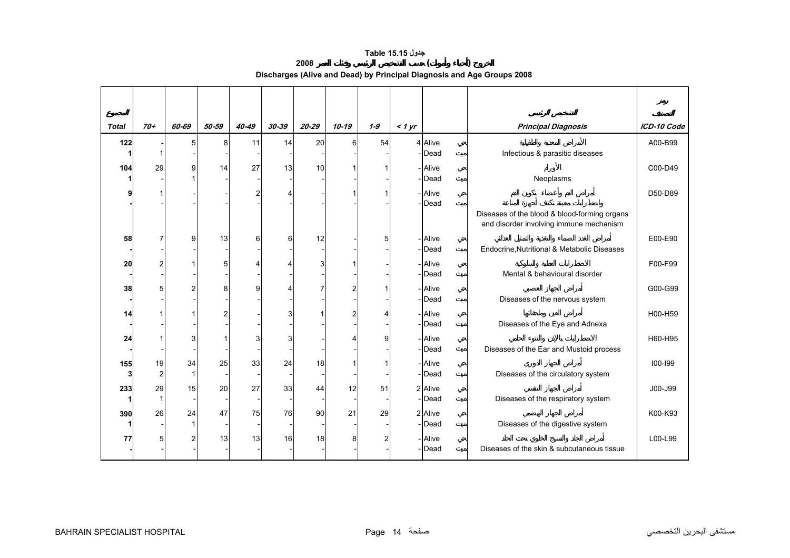## **جدول 15.15 Table**

**2008 ( )** 

**Discharges (Alive and Dead) by Principal Diagnosis and Age Groups 2008** 

<span id="page-13-0"></span>

| <b>Total</b> | $70+$          | 60-69          | 50-59          | 40-49 | $30 - 39$ | 20-29 | $10 - 19$ | $1 - 9$ | $<$ 1 yr |         | <b>Principal Diagnosis</b>                                                              | ICD-10 Code |
|--------------|----------------|----------------|----------------|-------|-----------|-------|-----------|---------|----------|---------|-----------------------------------------------------------------------------------------|-------------|
| 122          |                | 5              | 8              | 11    | 14        | 20    | 6         | 54      |          | 4 Alive |                                                                                         | A00-B99     |
|              |                |                |                |       |           |       |           |         |          | -Dead   | Infectious & parasitic diseases                                                         |             |
| 104          | 29             | 9              | 14             | 27    | 13        | 10    |           |         |          | - Alive |                                                                                         | C00-D49     |
|              |                |                |                |       |           |       |           |         |          | Dead    | Neoplasms                                                                               |             |
|              |                |                |                | 2     |           |       |           |         |          | - Alive |                                                                                         | D50-D89     |
|              |                |                |                |       |           |       |           |         |          | Dead    |                                                                                         |             |
|              |                |                |                |       |           |       |           |         |          |         | Diseases of the blood & blood-forming organs<br>and disorder involving immune mechanism |             |
| 58           |                | 9              | 13             | 6     | 6         | 12    |           | 5       |          | - Alive |                                                                                         | E00-E90     |
|              |                |                |                |       |           |       |           |         |          | Dead    | Endocrine, Nutritional & Metabolic Diseases                                             |             |
| 20           |                |                | 5              |       |           | 31    |           |         |          | - Alive |                                                                                         | F00-F99     |
|              |                |                |                |       |           |       |           |         |          | - Dead  | Mental & behavioural disorder                                                           |             |
| 38           | 5              | 2              | 8              | g     |           |       |           |         |          | - Alive |                                                                                         | G00-G99     |
|              |                |                |                |       |           |       |           |         |          | - Dead  | Diseases of the nervous system                                                          |             |
| 14           |                |                | $\overline{c}$ |       |           |       |           | 4       |          | - Alive |                                                                                         | H00-H59     |
|              |                |                |                |       |           |       |           |         |          | -Dead   | Diseases of the Eye and Adnexa                                                          |             |
| 24           |                | 3              |                | 3     |           |       |           | 9       |          | - Alive |                                                                                         | H60-H95     |
|              |                |                |                |       |           |       |           |         |          | - Dead  | Diseases of the Ear and Mustoid process                                                 |             |
| 155          | 19             | 34             | 25             | 33    | 24        | 18    |           |         |          | - Alive |                                                                                         | $100 - 199$ |
| 3            | $\overline{c}$ | 1              |                |       |           |       |           |         |          | -Dead   | Diseases of the circulatory system                                                      |             |
| 233          | 29             | 15             | 20             | 27    | 33        | 44    | 12        | 51      |          | 2 Alive |                                                                                         | J00-J99     |
|              | 1              |                |                |       |           |       |           |         |          | - Dead  | Diseases of the respiratory system                                                      |             |
| 390          | 26             | 24             | 47             | 75    | 76        | 90    | 21        | 29      |          | 2 Alive |                                                                                         | K00-K93     |
|              |                |                |                |       |           |       |           |         |          | -Dead   | Diseases of the digestive system                                                        |             |
| 77           | 5              | $\overline{2}$ | 13             | 13    | 16        | 18    | 8         | 2       |          | - Alive |                                                                                         | L00-L99     |
|              |                |                |                |       |           |       |           |         |          | - Dead  | Diseases of the skin & subcutaneous tissue                                              |             |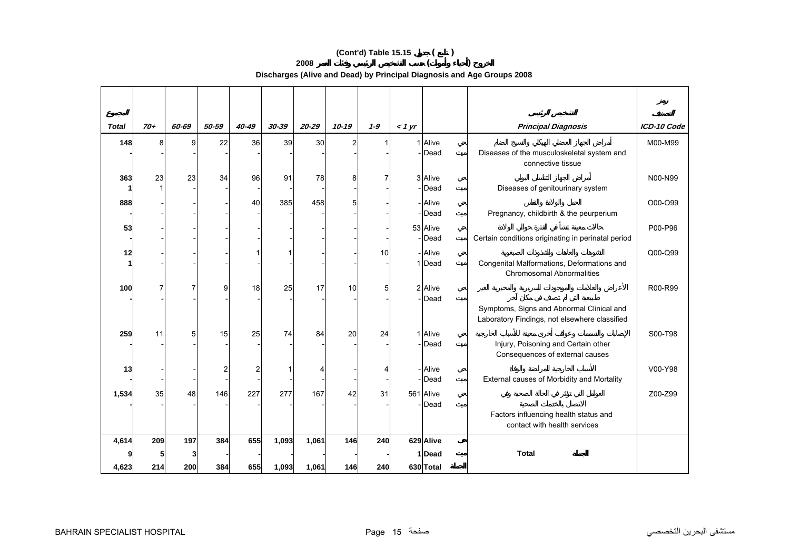## **(Cont'd) Table 15.15 ( )**

**2008 ( )** 

**Discharges (Alive and Dead) by Principal Diagnosis and Age Groups 2008** 

| <b>Total</b> | $70+$ | 60-69          | 50-59          | $40 - 49$ | 30-39 | $20 - 29$ | $10 - 19$      | $1 - 9$ | < 1 yr |                 | <b>Principal Diagnosis</b>                                                                 | ICD-10 Code |
|--------------|-------|----------------|----------------|-----------|-------|-----------|----------------|---------|--------|-----------------|--------------------------------------------------------------------------------------------|-------------|
| 148          | 8     | 9 <sub>l</sub> | 22             | 36        | 39    | 30        | $\overline{2}$ |         |        | 1 Alive         |                                                                                            | M00-M99     |
|              |       |                |                |           |       |           |                |         |        | - <b>I</b> Dead | Diseases of the musculoskeletal system and<br>connective tissue                            |             |
| 363          | 23    | 23             | 34             | 96        | 91    | 78        | 8              |         |        | 3 Alive         |                                                                                            | N00-N99     |
|              |       |                |                |           |       |           |                |         |        | -Dead           | Diseases of genitourinary system                                                           |             |
| 888          |       |                |                | 40        | 385   | 458       | 5              |         |        | - Alive         |                                                                                            | O00-O99     |
|              |       |                |                |           |       |           |                |         |        | - <b>I</b> Dead | Pregnancy, childbirth & the peurperium                                                     |             |
| 53           |       |                |                |           |       |           |                |         |        | 53 Alive        |                                                                                            | P00-P96     |
|              |       |                |                |           |       |           |                |         |        | -Dead           | Certain conditions originating in perinatal period                                         |             |
| 12           |       |                |                |           |       |           |                | 10      |        | - Alive         |                                                                                            | Q00-Q99     |
|              |       |                |                |           |       |           |                |         |        | 1Dead           | Congenital Malformations, Deformations and<br><b>Chromosomal Abnormalities</b>             |             |
| 100          | 7     | $\overline{7}$ | 9              | 18        | 25    | 17        | 10             | 5       |        | 2 Alive         |                                                                                            | R00-R99     |
|              |       |                |                |           |       |           |                |         |        | -Dead           |                                                                                            |             |
|              |       |                |                |           |       |           |                |         |        |                 | Symptoms, Signs and Abnormal Clinical and<br>Laboratory Findings, not elsewhere classified |             |
| 259          | 11    | 5              | 15             | 25        | 74    | 84        | 20             | 24      |        | 1 Alive         |                                                                                            | S00-T98     |
|              |       |                |                |           |       |           |                |         |        | -Dead           | Injury, Poisoning and Certain other<br>Consequences of external causes                     |             |
| 13           |       |                | $\overline{2}$ | 2         |       |           |                |         |        | - Alive         |                                                                                            | V00-Y98     |
|              |       |                |                |           |       |           |                |         |        | - <b>I</b> Dead | External causes of Morbidity and Mortality                                                 |             |
| 1,534        | 35    | 48             | 146            | 227       | 277   | 167       | 42             | 31      |        | 561 Alive       |                                                                                            | Z00-Z99     |
|              |       |                |                |           |       |           |                |         |        | - <b>I</b> Dead |                                                                                            |             |
|              |       |                |                |           |       |           |                |         |        |                 | Factors influencing health status and<br>contact with health services                      |             |
| 4,614        | 209   | 197            | 384            | 655       | 1,093 | 1,061     | 146            | 240     |        | 629 Alive       |                                                                                            |             |
|              |       |                |                |           |       |           |                |         |        | 1Dead           | <b>Total</b>                                                                               |             |
| 4,623        | 214   | <b>200</b>     | 384            | 655       | 1,093 | 1,061     | 146            | 240     |        | 630 Total       |                                                                                            |             |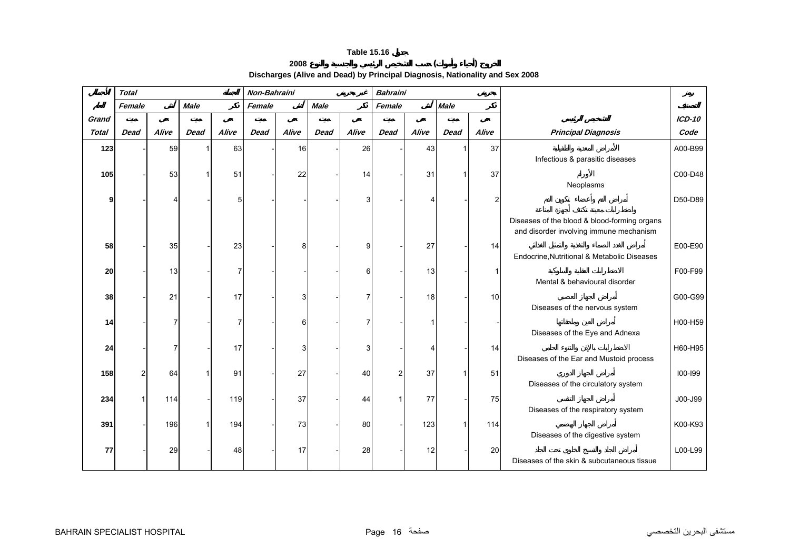## **2008 ( )**

**Discharges (Alive and Dead) by Principal Diagnosis, Nationality and Sex 2008** 

<span id="page-15-0"></span>

|              | <b>Total</b> |       |             |       | Non-Bahraini |       |             |       | <b>Bahraini</b> |       |             |       |                                                                                         |               |
|--------------|--------------|-------|-------------|-------|--------------|-------|-------------|-------|-----------------|-------|-------------|-------|-----------------------------------------------------------------------------------------|---------------|
|              | Female       |       | <b>Male</b> |       | Female       |       | <b>Male</b> |       | Female          |       | <b>Male</b> |       |                                                                                         |               |
| Grand        |              |       |             |       |              |       |             |       |                 |       |             |       |                                                                                         | <b>ICD-10</b> |
| <b>Total</b> | <b>Dead</b>  | Alive | <b>Dead</b> | Alive | <b>Dead</b>  | Alive | <b>Dead</b> | Alive | Dead            | Alive | <b>Dead</b> | Alive | <b>Principal Diagnosis</b>                                                              | Code          |
| 123          |              | 59    |             | 63    |              | 16    |             | 26    |                 | 43    |             | 37    | Infectious & parasitic diseases                                                         | A00-B99       |
| 105          |              | 53    |             | 51    |              | 22    |             | 14    |                 | 31    |             | 37    | Neoplasms                                                                               | C00-D48       |
|              |              |       |             |       |              |       |             | 3     |                 |       |             | 2     |                                                                                         | D50-D89       |
|              |              |       |             |       |              |       |             |       |                 |       |             |       | Diseases of the blood & blood-forming organs<br>and disorder involving immune mechanism |               |
| 58           |              | 35    |             | 23    |              | 8     |             | 9     |                 | 27    |             | 14    | Endocrine, Nutritional & Metabolic Diseases                                             | E00-E90       |
| 20           |              | 13    |             |       |              |       |             | 6     |                 | 13    |             | 1     | Mental & behavioural disorder                                                           | F00-F99       |
| 38           |              | 21    |             | 17    |              | 3     |             | 7     |                 | 18    |             | 10    | Diseases of the nervous system                                                          | G00-G99       |
| 14           |              | 7     |             |       |              | 6     |             |       |                 |       |             |       | Diseases of the Eye and Adnexa                                                          | H00-H59       |
| 24           |              | 7     |             | 17    |              | 3     |             | 3     |                 |       |             | 14    |                                                                                         | H60-H95       |
| 158          |              | 64    |             | 91    |              | 27    |             | 40    | $\overline{a}$  | 37    |             | 51    | Diseases of the Ear and Mustoid process                                                 | $100 - 199$   |
| 234          |              | 114   |             | 119   |              | 37    |             | 44    |                 | 77    |             | 75    | Diseases of the circulatory system                                                      | J00-J99       |
| 391          |              | 196   |             | 194   |              | 73    |             | 80    |                 | 123   |             | 114   | Diseases of the respiratory system                                                      | K00-K93       |
| 77           |              | 29    |             | 48    |              | 17    |             | 28    |                 | 12    |             | 20    | Diseases of the digestive system<br>Diseases of the skin & subcutaneous tissue          | L00-L99       |